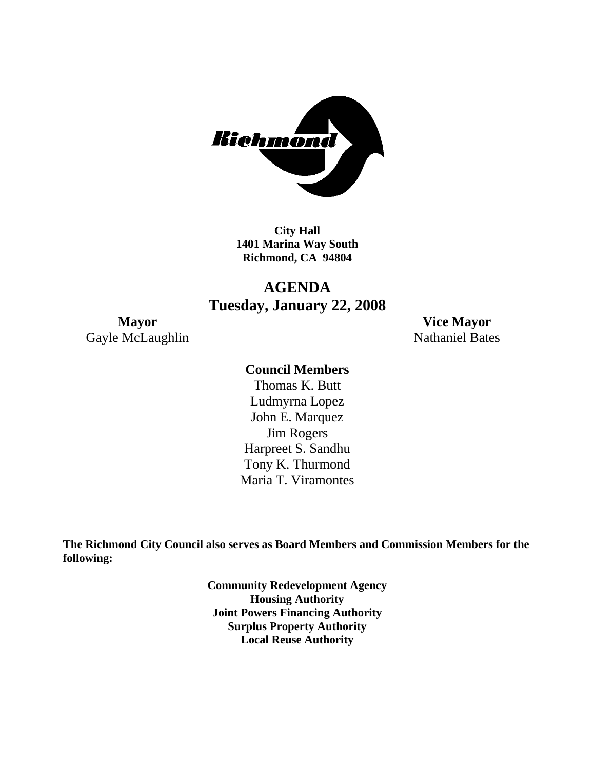

**City Hall 1401 Marina Way South Richmond, CA 94804** 

### **AGENDA Tuesday, January 22, 2008**

Gayle McLaughlin Nathaniel Bates

**Mayor Vice Mayor** 

### **Council Members**

Harpreet S. Sandhu Tony K. Thurmond Maria T. Viramontes Thomas K. Butt Ludmyrna Lopez John E. Marquez Jim Rogers

**The Richmond City Council also serves as Board Members and Commission Members for the following:** 

> **Community Redevelopment Agency Housing Authority Joint Powers Financing Authority Surplus Property Authority Local Reuse Authority**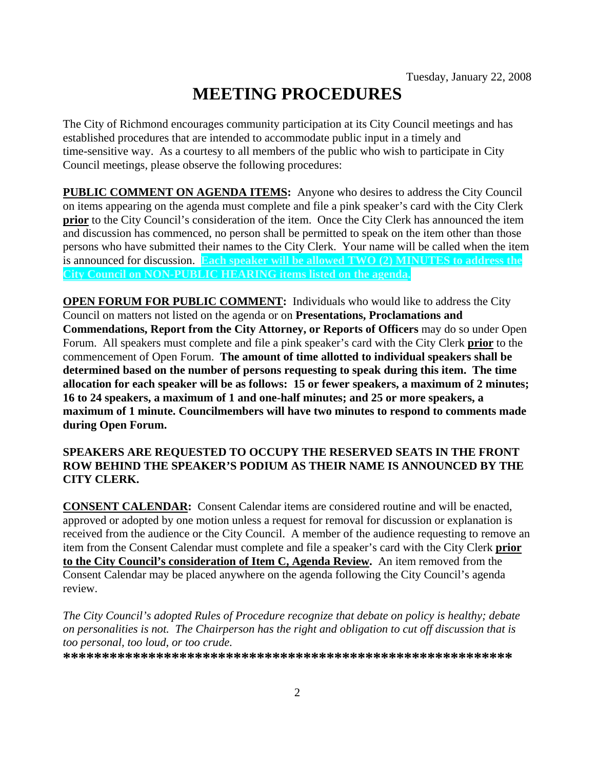# **MEETING PROCEDURES**

The City of Richmond encourages community participation at its City Council meetings and has established procedures that are intended to accommodate public input in a timely and time-sensitive way. As a courtesy to all members of the public who wish to participate in City Council meetings, please observe the following procedures:

**PUBLIC COMMENT ON AGENDA ITEMS:** Anyone who desires to address the City Council on items appearing on the agenda must complete and file a pink speaker's card with the City Clerk **prior** to the City Council's consideration of the item. Once the City Clerk has announced the item and discussion has commenced, no person shall be permitted to speak on the item other than those persons who have submitted their names to the City Clerk. Your name will be called when the item is announced for discussion. **Each speaker will be allowed TWO (2) MINUTES to address the City Council on NON-PUBLIC HEARING items listed on the agenda.** 

**OPEN FORUM FOR PUBLIC COMMENT:** Individuals who would like to address the City Council on matters not listed on the agenda or on **Presentations, Proclamations and Commendations, Report from the City Attorney, or Reports of Officers** may do so under Open Forum. All speakers must complete and file a pink speaker's card with the City Clerk **prior** to the commencement of Open Forum. **The amount of time allotted to individual speakers shall be determined based on the number of persons requesting to speak during this item. The time allocation for each speaker will be as follows: 15 or fewer speakers, a maximum of 2 minutes; 16 to 24 speakers, a maximum of 1 and one-half minutes; and 25 or more speakers, a maximum of 1 minute. Councilmembers will have two minutes to respond to comments made during Open Forum.** 

### **SPEAKERS ARE REQUESTED TO OCCUPY THE RESERVED SEATS IN THE FRONT ROW BEHIND THE SPEAKER'S PODIUM AS THEIR NAME IS ANNOUNCED BY THE CITY CLERK.**

**CONSENT CALENDAR:** Consent Calendar items are considered routine and will be enacted, approved or adopted by one motion unless a request for removal for discussion or explanation is received from the audience or the City Council. A member of the audience requesting to remove an item from the Consent Calendar must complete and file a speaker's card with the City Clerk **prior to the City Council's consideration of Item C, Agenda Review.** An item removed from the Consent Calendar may be placed anywhere on the agenda following the City Council's agenda review.

*The City Council's adopted Rules of Procedure recognize that debate on policy is healthy; debate on personalities is not. The Chairperson has the right and obligation to cut off discussion that is too personal, too loud, or too crude.* 

**\*\*\*\*\*\*\*\*\*\*\*\*\*\*\*\*\*\*\*\*\*\*\*\*\*\*\*\*\*\*\*\*\*\*\*\*\*\*\*\*\*\*\*\*\*\*\*\*\*\*\*\*\*\*\*\*\*\***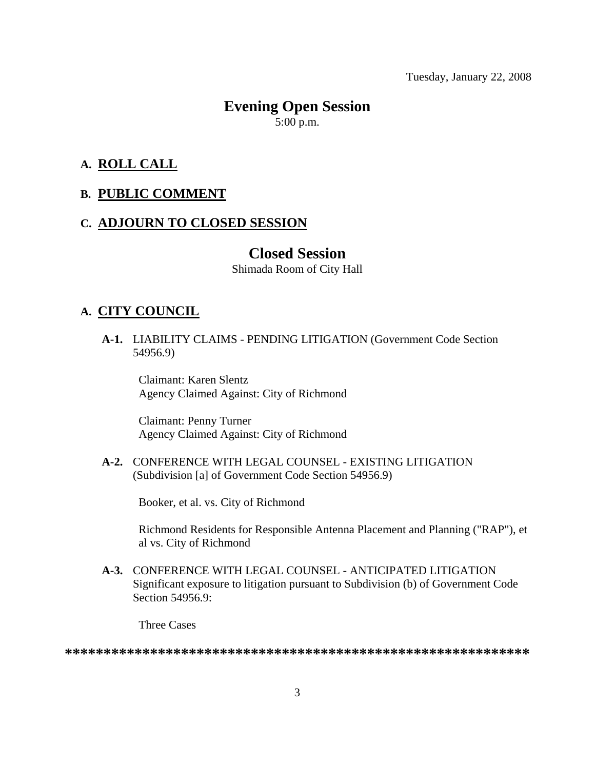Tuesday, January 22, 2008

# **Evening Open Session**

5:00 p.m.

### **A. ROLL CALL**

### **B. PUBLIC COMMENT**

### **C. ADJOURN TO CLOSED SESSION**

### **Closed Session**

Shimada Room of City Hall

### **A. CITY COUNCIL**

 **A-1.** LIABILITY CLAIMS - PENDING LITIGATION (Government Code Section 54956.9)

Claimant: Karen Slentz Agency Claimed Against: City of Richmond

Claimant: Penny Turner Agency Claimed Against: City of Richmond

 **A-2.** CONFERENCE WITH LEGAL COUNSEL - EXISTING LITIGATION (Subdivision [a] of Government Code Section 54956.9)

Booker, et al. vs. City of Richmond

Richmond Residents for Responsible Antenna Placement and Planning ("RAP"), et al vs. City of Richmond

 **A-3.** CONFERENCE WITH LEGAL COUNSEL - ANTICIPATED LITIGATION Significant exposure to litigation pursuant to Subdivision (b) of Government Code Section 54956.9:

Three Cases

**\*\*\*\*\*\*\*\*\*\*\*\*\*\*\*\*\*\*\*\*\*\*\*\*\*\*\*\*\*\*\*\*\*\*\*\*\*\*\*\*\*\*\*\*\*\*\*\*\*\*\*\*\*\*\*\*\*\*\*\***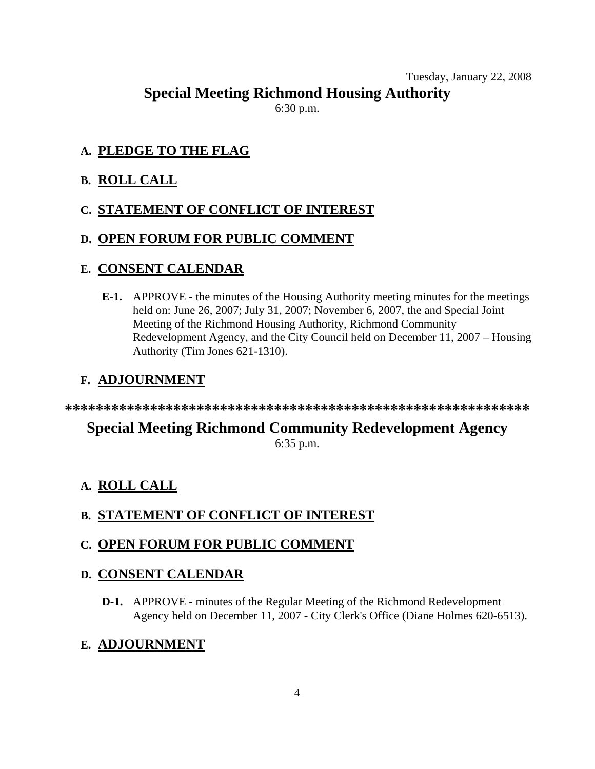### Tuesday, January 22, 2008

**Special Meeting Richmond Housing Authority** 

6:30 p.m.

### **A. PLEDGE TO THE FLAG**

### **B. ROLL CALL**

### **C. STATEMENT OF CONFLICT OF INTEREST**

### **D. OPEN FORUM FOR PUBLIC COMMENT**

### **E. CONSENT CALENDAR**

 **E-1.** APPROVE - the minutes of the Housing Authority meeting minutes for the meetings held on: June 26, 2007; July 31, 2007; November 6, 2007, the and Special Joint Meeting of the Richmond Housing Authority, Richmond Community Redevelopment Agency, and the City Council held on December 11, 2007 – Housing Authority (Tim Jones 621-1310).

### **F. ADJOURNMENT**

**\*\*\*\*\*\*\*\*\*\*\*\*\*\*\*\*\*\*\*\*\*\*\*\*\*\*\*\*\*\*\*\*\*\*\*\*\*\*\*\*\*\*\*\*\*\*\*\*\*\*\*\*\*\*\*\*\*\*\*\*** 

### **Special Meeting Richmond Community Redevelopment Agency**  6:35 p.m.

### **A. ROLL CALL**

### **B. STATEMENT OF CONFLICT OF INTEREST**

### **C. OPEN FORUM FOR PUBLIC COMMENT**

### **D. CONSENT CALENDAR**

 **D-1.** APPROVE - minutes of the Regular Meeting of the Richmond Redevelopment Agency held on December 11, 2007 - City Clerk's Office (Diane Holmes 620-6513).

### **E. ADJOURNMENT**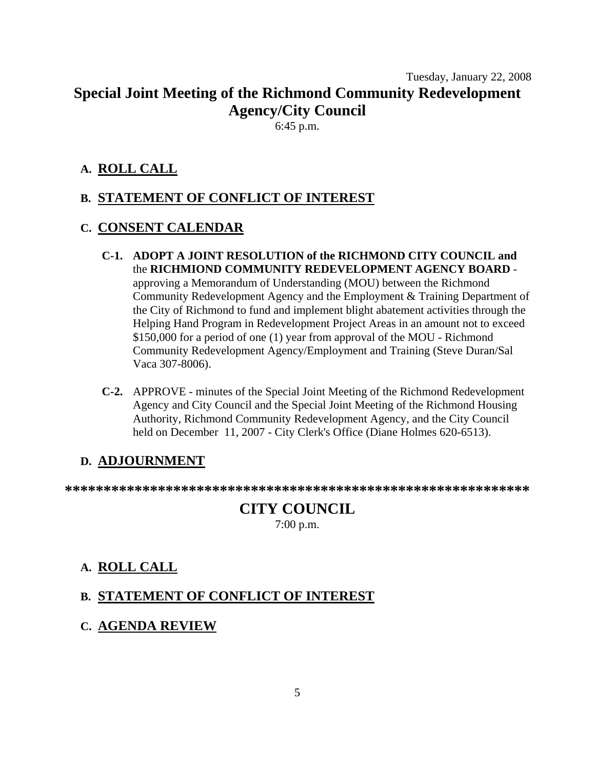## Tuesday, January 22, 2008 **Special Joint Meeting of the Richmond Community Redevelopment Agency/City Council**

6:45 p.m.

### **A. ROLL CALL**

### **B. STATEMENT OF CONFLICT OF INTEREST**

### **C. CONSENT CALENDAR**

- **C-1. ADOPT A JOINT RESOLUTION of the RICHMOND CITY COUNCIL and** the **RICHMIOND COMMUNITY REDEVELOPMENT AGENCY BOARD** approving a Memorandum of Understanding (MOU) between the Richmond Community Redevelopment Agency and the Employment & Training Department of the City of Richmond to fund and implement blight abatement activities through the Helping Hand Program in Redevelopment Project Areas in an amount not to exceed \$150,000 for a period of one (1) year from approval of the MOU - Richmond Community Redevelopment Agency/Employment and Training (Steve Duran/Sal Vaca 307-8006).
- **C-2.** APPROVE minutes of the Special Joint Meeting of the Richmond Redevelopment Agency and City Council and the Special Joint Meeting of the Richmond Housing Authority, Richmond Community Redevelopment Agency, and the City Council held on December 11, 2007 - City Clerk's Office (Diane Holmes 620-6513).

### **D. ADJOURNMENT**

**\*\*\*\*\*\*\*\*\*\*\*\*\*\*\*\*\*\*\*\*\*\*\*\*\*\*\*\*\*\*\*\*\*\*\*\*\*\*\*\*\*\*\*\*\*\*\*\*\*\*\*\*\*\*\*\*\*\*\*\*** 

### **CITY COUNCIL**  7:00 p.m.

### **A. ROLL CALL**

### **B. STATEMENT OF CONFLICT OF INTEREST**

**C. AGENDA REVIEW**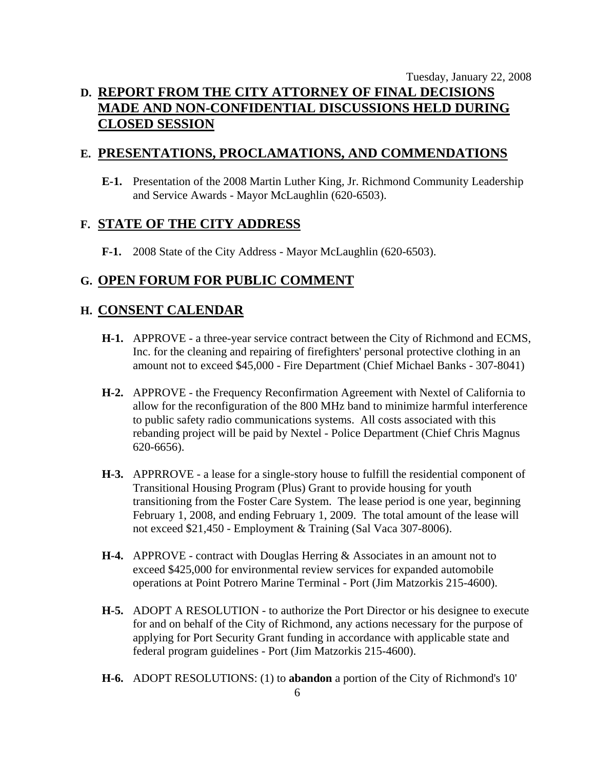### Tuesday, January 22, 2008 **D. REPORT FROM THE CITY ATTORNEY OF FINAL DECISIONS MADE AND NON-CONFIDENTIAL DISCUSSIONS HELD DURING CLOSED SESSION**

### **E. PRESENTATIONS, PROCLAMATIONS, AND COMMENDATIONS**

 **E-1.** Presentation of the 2008 Martin Luther King, Jr. Richmond Community Leadership and Service Awards - Mayor McLaughlin (620-6503).

### **F. STATE OF THE CITY ADDRESS**

 **F-1.** 2008 State of the City Address - Mayor McLaughlin (620-6503).

### **G. OPEN FORUM FOR PUBLIC COMMENT**

### **H. CONSENT CALENDAR**

- **H-1.** APPROVE a three-year service contract between the City of Richmond and ECMS, Inc. for the cleaning and repairing of firefighters' personal protective clothing in an amount not to exceed \$45,000 - Fire Department (Chief Michael Banks - 307-8041)
- **H-2.** APPROVE the Frequency Reconfirmation Agreement with Nextel of California to allow for the reconfiguration of the 800 MHz band to minimize harmful interference to public safety radio communications systems. All costs associated with this rebanding project will be paid by Nextel - Police Department (Chief Chris Magnus 620-6656).
- **H-3.** APPRROVE a lease for a single-story house to fulfill the residential component of Transitional Housing Program (Plus) Grant to provide housing for youth transitioning from the Foster Care System. The lease period is one year, beginning February 1, 2008, and ending February 1, 2009. The total amount of the lease will not exceed \$21,450 - Employment & Training (Sal Vaca 307-8006).
- **H-4.** APPROVE contract with Douglas Herring & Associates in an amount not to exceed \$425,000 for environmental review services for expanded automobile operations at Point Potrero Marine Terminal - Port (Jim Matzorkis 215-4600).
- **H-5.** ADOPT A RESOLUTION to authorize the Port Director or his designee to execute for and on behalf of the City of Richmond, any actions necessary for the purpose of applying for Port Security Grant funding in accordance with applicable state and federal program guidelines - Port (Jim Matzorkis 215-4600).
- **H-6.** ADOPT RESOLUTIONS: (1) to **abandon** a portion of the City of Richmond's 10'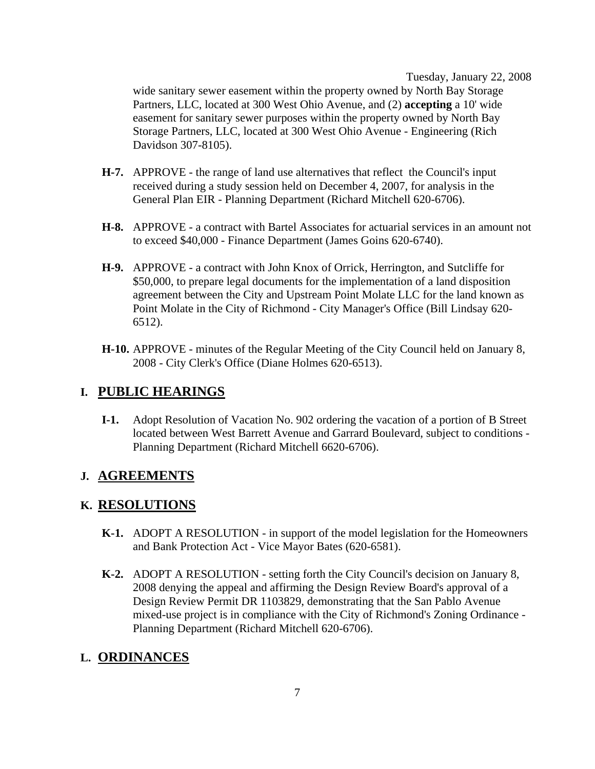Tuesday, January 22, 2008

wide sanitary sewer easement within the property owned by North Bay Storage Partners, LLC, located at 300 West Ohio Avenue, and (2) **accepting** a 10' wide easement for sanitary sewer purposes within the property owned by North Bay Storage Partners, LLC, located at 300 West Ohio Avenue - Engineering (Rich Davidson 307-8105).

- **H-7.** APPROVE the range of land use alternatives that reflect the Council's input received during a study session held on December 4, 2007, for analysis in the General Plan EIR - Planning Department (Richard Mitchell 620-6706).
- **H-8.** APPROVE a contract with Bartel Associates for actuarial services in an amount not to exceed \$40,000 - Finance Department (James Goins 620-6740).
- **H-9.** APPROVE a contract with John Knox of Orrick, Herrington, and Sutcliffe for \$50,000, to prepare legal documents for the implementation of a land disposition agreement between the City and Upstream Point Molate LLC for the land known as Point Molate in the City of Richmond - City Manager's Office (Bill Lindsay 620- 6512).
- **H-10.** APPROVE minutes of the Regular Meeting of the City Council held on January 8, 2008 - City Clerk's Office (Diane Holmes 620-6513).

### **I. PUBLIC HEARINGS**

 **I-1.** Adopt Resolution of Vacation No. 902 ordering the vacation of a portion of B Street located between West Barrett Avenue and Garrard Boulevard, subject to conditions - Planning Department (Richard Mitchell 6620-6706).

### **J. AGREEMENTS**

### **K. RESOLUTIONS**

- **K-1.** ADOPT A RESOLUTION in support of the model legislation for the Homeowners and Bank Protection Act - Vice Mayor Bates (620-6581).
- **K-2.** ADOPT A RESOLUTION setting forth the City Council's decision on January 8, 2008 denying the appeal and affirming the Design Review Board's approval of a Design Review Permit DR 1103829, demonstrating that the San Pablo Avenue mixed-use project is in compliance with the City of Richmond's Zoning Ordinance - Planning Department (Richard Mitchell 620-6706).

### **L. ORDINANCES**